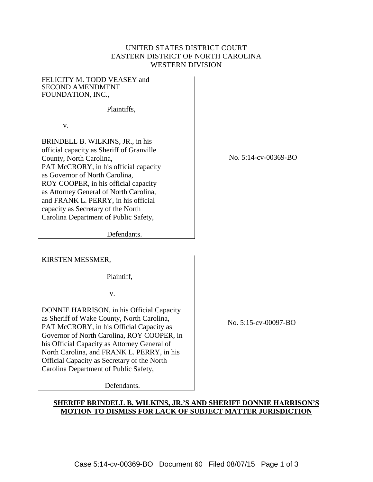## UNITED STATES DISTRICT COURT EASTERN DISTRICT OF NORTH CAROLINA WESTERN DIVISION

FELICITY M. TODD VEASEY and SECOND AMENDMENT FOUNDATION, INC.,

Plaintiffs,

v.

BRINDELL B. WILKINS, JR., in his official capacity as Sheriff of Granville County, North Carolina, PAT McCRORY, in his official capacity as Governor of North Carolina, ROY COOPER, in his official capacity as Attorney General of North Carolina, and FRANK L. PERRY, in his official capacity as Secretary of the North Carolina Department of Public Safety,

No. 5:14-cv-00369-BO

Defendants.

KIRSTEN MESSMER,

Plaintiff,

v.

DONNIE HARRISON, in his Official Capacity as Sheriff of Wake County, North Carolina, PAT McCRORY, in his Official Capacity as Governor of North Carolina, ROY COOPER, in his Official Capacity as Attorney General of North Carolina, and FRANK L. PERRY, in his Official Capacity as Secretary of the North Carolina Department of Public Safety,

Defendants.

No. 5:15-cv-00097-BO

## **SHERIFF BRINDELL B. WILKINS, JR.'S AND SHERIFF DONNIE HARRISON'S MOTION TO DISMISS FOR LACK OF SUBJECT MATTER JURISDICTION**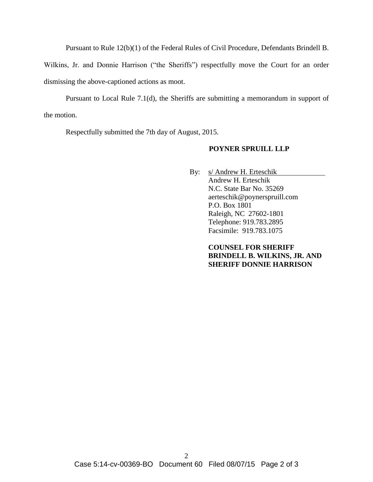Pursuant to Rule 12(b)(1) of the Federal Rules of Civil Procedure, Defendants Brindell B.

Wilkins, Jr. and Donnie Harrison ("the Sheriffs") respectfully move the Court for an order dismissing the above-captioned actions as moot.

Pursuant to Local Rule 7.1(d), the Sheriffs are submitting a memorandum in support of the motion.

Respectfully submitted the 7th day of August, 2015.

## **POYNER SPRUILL LLP**

By: s/ Andrew H. Erteschik Andrew H. Erteschik N.C. State Bar No. 35269 aerteschik@poynerspruill.com P.O. Box 1801 Raleigh, NC 27602-1801 Telephone: 919.783.2895 Facsimile: 919.783.1075

> **COUNSEL FOR SHERIFF BRINDELL B. WILKINS, JR. AND SHERIFF DONNIE HARRISON**